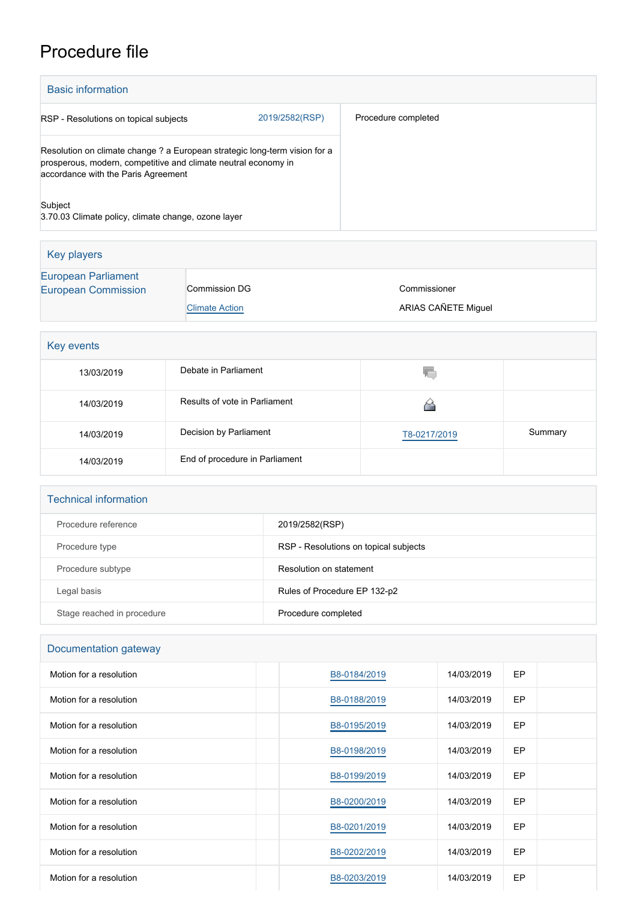# Procedure file

| <b>Basic information</b>                                                                                                                                                            |                                               |                                     |         |
|-------------------------------------------------------------------------------------------------------------------------------------------------------------------------------------|-----------------------------------------------|-------------------------------------|---------|
| 2019/2582(RSP)<br>RSP - Resolutions on topical subjects                                                                                                                             |                                               | Procedure completed                 |         |
| Resolution on climate change ? a European strategic long-term vision for a<br>prosperous, modern, competitive and climate neutral economy in<br>accordance with the Paris Agreement |                                               |                                     |         |
| Subject<br>3.70.03 Climate policy, climate change, ozone layer                                                                                                                      |                                               |                                     |         |
| <b>Key players</b>                                                                                                                                                                  |                                               |                                     |         |
| <b>European Parliament</b><br><b>European Commission</b>                                                                                                                            | <b>Commission DG</b><br><b>Climate Action</b> | Commissioner<br>ARIAS CAÑETE Miguel |         |
| Key events                                                                                                                                                                          |                                               |                                     |         |
| 13/03/2019                                                                                                                                                                          | Debate in Parliament                          | 疝                                   |         |
| 14/03/2019                                                                                                                                                                          | Results of vote in Parliament                 | ⋒                                   |         |
| 14/03/2019                                                                                                                                                                          | Decision by Parliament                        | T8-0217/2019                        | Summary |
| 14/03/2019                                                                                                                                                                          | End of procedure in Parliament                |                                     |         |

| <b>Technical information</b> |                                       |
|------------------------------|---------------------------------------|
| Procedure reference          | 2019/2582(RSP)                        |
| Procedure type               | RSP - Resolutions on topical subjects |
| Procedure subtype            | Resolution on statement               |
| Legal basis                  | Rules of Procedure EP 132-p2          |
| Stage reached in procedure   | Procedure completed                   |

| Documentation gateway |  |
|-----------------------|--|
|-----------------------|--|

| Motion for a resolution | B8-0184/2019 | 14/03/2019 | EP |  |
|-------------------------|--------------|------------|----|--|
| Motion for a resolution | B8-0188/2019 | 14/03/2019 | EP |  |
| Motion for a resolution | B8-0195/2019 | 14/03/2019 | EP |  |
| Motion for a resolution | B8-0198/2019 | 14/03/2019 | EP |  |
| Motion for a resolution | B8-0199/2019 | 14/03/2019 | EP |  |
| Motion for a resolution | B8-0200/2019 | 14/03/2019 | EP |  |
| Motion for a resolution | B8-0201/2019 | 14/03/2019 | EP |  |
| Motion for a resolution | B8-0202/2019 | 14/03/2019 | EP |  |
| Motion for a resolution | B8-0203/2019 | 14/03/2019 | EP |  |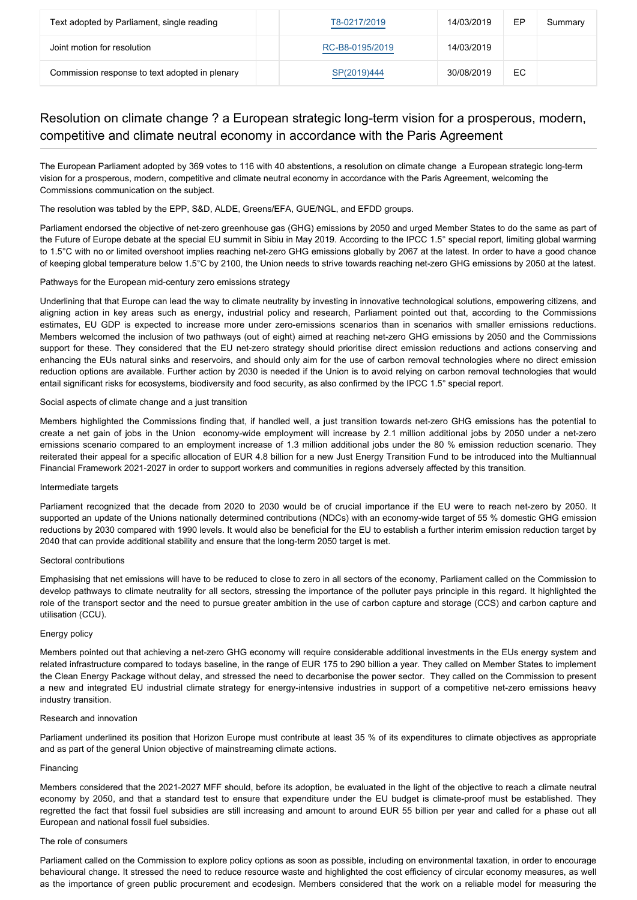| Text adopted by Parliament, single reading     | T8-0217/2019    | 14/03/2019 | ЕP | Summary |
|------------------------------------------------|-----------------|------------|----|---------|
| Joint motion for resolution                    | RC-B8-0195/2019 | 14/03/2019 |    |         |
| Commission response to text adopted in plenary | SP(2019)444     | 30/08/2019 | EC |         |

# Resolution on climate change ? a European strategic long-term vision for a prosperous, modern, competitive and climate neutral economy in accordance with the Paris Agreement

The European Parliament adopted by 369 votes to 116 with 40 abstentions, a resolution on climate change a European strategic long-term vision for a prosperous, modern, competitive and climate neutral economy in accordance with the Paris Agreement, welcoming the Commissions communication on the subject.

The resolution was tabled by the EPP, S&D, ALDE, Greens/EFA, GUE/NGL, and EFDD groups.

Parliament endorsed the objective of net-zero greenhouse gas (GHG) emissions by 2050 and urged Member States to do the same as part of the Future of Europe debate at the special EU summit in Sibiu in May 2019. According to the IPCC 1.5° special report, limiting global warming to 1.5°C with no or limited overshoot implies reaching net-zero GHG emissions globally by 2067 at the latest. In order to have a good chance of keeping global temperature below 1.5°C by 2100, the Union needs to strive towards reaching net-zero GHG emissions by 2050 at the latest.

### Pathways for the European mid-century zero emissions strategy

Underlining that that Europe can lead the way to climate neutrality by investing in innovative technological solutions, empowering citizens, and aligning action in key areas such as energy, industrial policy and research, Parliament pointed out that, according to the Commissions estimates, EU GDP is expected to increase more under zero-emissions scenarios than in scenarios with smaller emissions reductions. Members welcomed the inclusion of two pathways (out of eight) aimed at reaching net-zero GHG emissions by 2050 and the Commissions support for these. They considered that the EU net-zero strategy should prioritise direct emission reductions and actions conserving and enhancing the EUs natural sinks and reservoirs, and should only aim for the use of carbon removal technologies where no direct emission reduction options are available. Further action by 2030 is needed if the Union is to avoid relying on carbon removal technologies that would entail significant risks for ecosystems, biodiversity and food security, as also confirmed by the IPCC 1.5° special report.

## Social aspects of climate change and a just transition

Members highlighted the Commissions finding that, if handled well, a just transition towards net-zero GHG emissions has the potential to create a net gain of jobs in the Union economy-wide employment will increase by 2.1 million additional jobs by 2050 under a net-zero emissions scenario compared to an employment increase of 1.3 million additional jobs under the 80 % emission reduction scenario. They reiterated their appeal for a specific allocation of EUR 4.8 billion for a new Just Energy Transition Fund to be introduced into the Multiannual Financial Framework 2021-2027 in order to support workers and communities in regions adversely affected by this transition.

#### Intermediate targets

Parliament recognized that the decade from 2020 to 2030 would be of crucial importance if the EU were to reach net-zero by 2050. It supported an update of the Unions nationally determined contributions (NDCs) with an economy-wide target of 55 % domestic GHG emission reductions by 2030 compared with 1990 levels. It would also be beneficial for the EU to establish a further interim emission reduction target by 2040 that can provide additional stability and ensure that the long-term 2050 target is met.

#### Sectoral contributions

Emphasising that net emissions will have to be reduced to close to zero in all sectors of the economy, Parliament called on the Commission to develop pathways to climate neutrality for all sectors, stressing the importance of the polluter pays principle in this regard. It highlighted the role of the transport sector and the need to pursue greater ambition in the use of carbon capture and storage (CCS) and carbon capture and utilisation (CCU).

#### Energy policy

Members pointed out that achieving a net-zero GHG economy will require considerable additional investments in the EUs energy system and related infrastructure compared to todays baseline, in the range of EUR 175 to 290 billion a year. They called on Member States to implement the Clean Energy Package without delay, and stressed the need to decarbonise the power sector. They called on the Commission to present a new and integrated EU industrial climate strategy for energy-intensive industries in support of a competitive net-zero emissions heavy industry transition.

#### Research and innovation

Parliament underlined its position that Horizon Europe must contribute at least 35 % of its expenditures to climate objectives as appropriate and as part of the general Union objective of mainstreaming climate actions.

#### Financing

Members considered that the 2021-2027 MFF should, before its adoption, be evaluated in the light of the objective to reach a climate neutral economy by 2050, and that a standard test to ensure that expenditure under the EU budget is climate-proof must be established. They regretted the fact that fossil fuel subsidies are still increasing and amount to around EUR 55 billion per year and called for a phase out all European and national fossil fuel subsidies.

#### The role of consumers

Parliament called on the Commission to explore policy options as soon as possible, including on environmental taxation, in order to encourage behavioural change. It stressed the need to reduce resource waste and highlighted the cost efficiency of circular economy measures, as well as the importance of green public procurement and ecodesign. Members considered that the work on a reliable model for measuring the